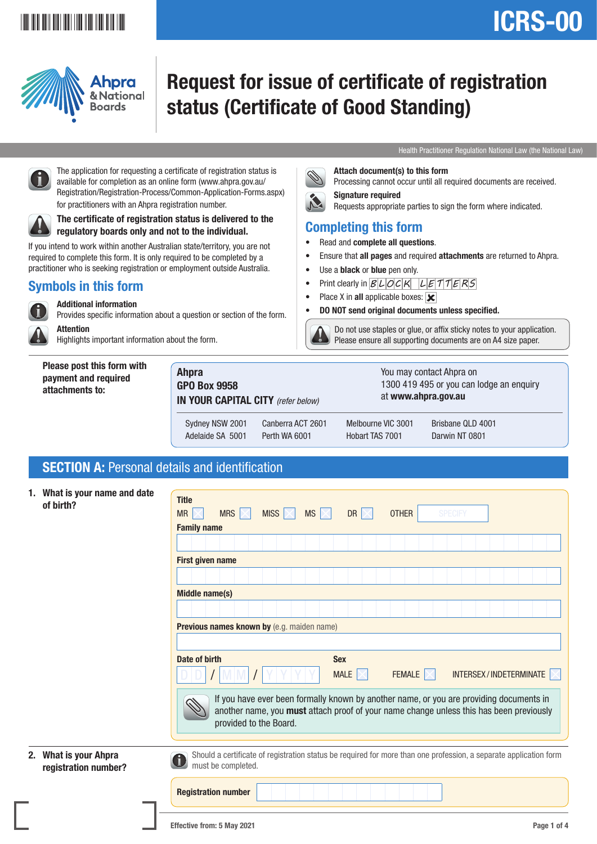# ICRS-00

## <u>\*ICRS-001 | ICRS-001 | ICRS-001 | ICRS-001 | ICRS-001 | ICRS-001 | ICRS-001 | ICRS-001 | ICRS-001 | ICRS-001 | </u>



## Request for issue of certificate of registration status (Certificate of Good Standing)

Attach document(s) to this form

• Print clearly in  $BLOCK$   $LETTTERS$ 

• DO NOT send original documents unless specified.

Signature required

Completing this form • Read and complete all questions.

Use a **black** or **blue** pen only.

• Place X in all applicable boxes:  $\overline{\mathbf{x}}$ 



Processing cannot occur until all required documents are received.

Requests appropriate parties to sign the form where indicated.

Ensure that all pages and required attachments are returned to Ahpra.

Do not use staples or glue, or affix sticky notes to your application.

**Please ensure all supporting documents are on A4 size paper.** 



 The application for requesting a certificate of registration status is available for completion as an online form (www.ahpra.gov.au/ Registration/Registration-Process/Common-Application-Forms.aspx) for practitioners with an Ahpra registration number.



 The certificate of registration status is delivered to the regulatory boards only and not to the individual.

If you intend to work within another Australian state/territory, you are not required to complete this form. It is only required to be completed by a practitioner who is seeking registration or employment outside Australia.

#### Symbols in this form



Additional information

Provides specific information about a question or section of the form.

**Attention** Highlights important information about the form.

Please post this form with payment and required attachments to:

Ahpra GPO Box 9958 IN YOUR CAPITAL CITY *(refer below)* You may contact Ahpra on 1300 419 495 or you can lodge an enquiry at www.ahpra.gov.au Sydney NSW 2001 Canberra ACT 2601 Melbourne VIC 3001 Brisbane QLD 4001 Adelaide SA 5001 Perth WA 6001 Hobart TAS 7001 Darwin NT 0801

#### SECTION A: Personal details and identification

| 1. What is your name and date |  |
|-------------------------------|--|
| of birth?                     |  |

| 1. What is your name and date<br>of birth?    | <b>Title</b><br>MRS $\mathbb{K}$<br>MISS $ \times $<br><b>MS</b><br><b>OTHER</b><br><b>SPECIFY</b><br>MR<br>$\times$<br>DR $\times$<br><b>Family name</b><br><b>First given name</b>                         |
|-----------------------------------------------|--------------------------------------------------------------------------------------------------------------------------------------------------------------------------------------------------------------|
|                                               | Middle name(s)                                                                                                                                                                                               |
|                                               | Previous names known by (e.g. maiden name)                                                                                                                                                                   |
|                                               | <b>Sex</b><br>Date of birth<br>MALE $ \times $<br>INTERSEX/INDETERMINATE<br>FEMALE $ \times $                                                                                                                |
|                                               | If you have ever been formally known by another name, or you are providing documents in<br>another name, you must attach proof of your name change unless this has been previously<br>provided to the Board. |
| 2. What is your Ahpra<br>registration number? | Should a certificate of registration status be required for more than one profession, a separate application form<br>0<br>must be completed.                                                                 |
|                                               | <b>Registration number</b>                                                                                                                                                                                   |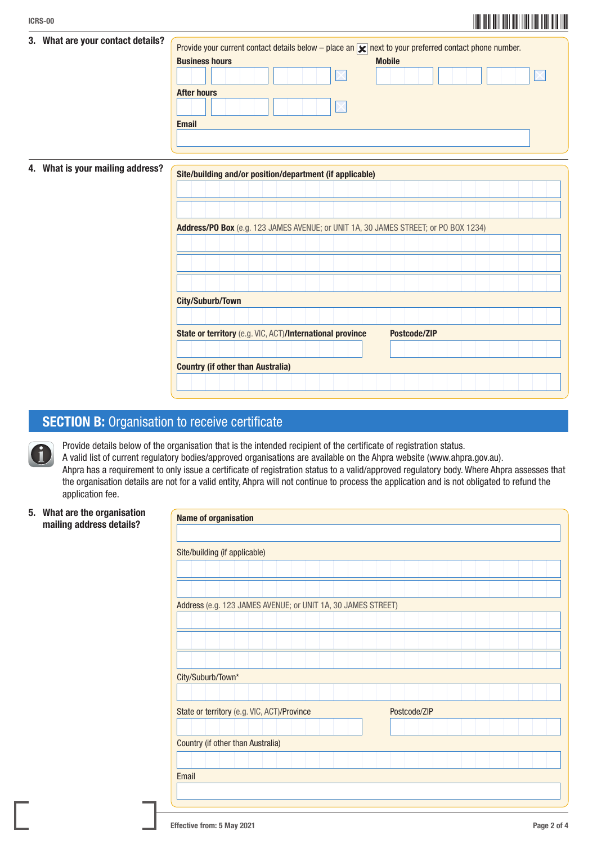| 3. What are your contact details?                                                   | Provide your current contact details below – place an $\vert \mathbf{x} \vert$ next to your preferred contact phone number. |  |  |  |  |  |
|-------------------------------------------------------------------------------------|-----------------------------------------------------------------------------------------------------------------------------|--|--|--|--|--|
|                                                                                     | <b>Business hours</b><br><b>Mobile</b>                                                                                      |  |  |  |  |  |
|                                                                                     |                                                                                                                             |  |  |  |  |  |
|                                                                                     | <b>After hours</b>                                                                                                          |  |  |  |  |  |
|                                                                                     |                                                                                                                             |  |  |  |  |  |
|                                                                                     | <b>Email</b>                                                                                                                |  |  |  |  |  |
|                                                                                     |                                                                                                                             |  |  |  |  |  |
|                                                                                     |                                                                                                                             |  |  |  |  |  |
|                                                                                     |                                                                                                                             |  |  |  |  |  |
| 4. What is your mailing address?                                                    | Site/building and/or position/department (if applicable)                                                                    |  |  |  |  |  |
|                                                                                     |                                                                                                                             |  |  |  |  |  |
|                                                                                     |                                                                                                                             |  |  |  |  |  |
|                                                                                     |                                                                                                                             |  |  |  |  |  |
|                                                                                     |                                                                                                                             |  |  |  |  |  |
| Address/PO Box (e.g. 123 JAMES AVENUE; or UNIT 1A, 30 JAMES STREET; or PO BOX 1234) |                                                                                                                             |  |  |  |  |  |
|                                                                                     |                                                                                                                             |  |  |  |  |  |
|                                                                                     |                                                                                                                             |  |  |  |  |  |
|                                                                                     |                                                                                                                             |  |  |  |  |  |
|                                                                                     |                                                                                                                             |  |  |  |  |  |

#### **SECTION B:** Organisation to receive certificate

City/Suburb/Town

Country (if other than Australia)

Provide details below of the organisation that is the intended recipient of the certificate of registration status. A valid list of current regulatory bodies/approved organisations are available on the Ahpra website (www.ahpra.gov.au). Ahpra has a requirement to only issue a certificate of registration status to a valid/approved regulatory body. Where Ahpra assesses that the organisation details are not for a valid entity, Ahpra will not continue to process the application and is not obligated to refund the application fee.

State or territory (e.g. VIC, ACT)/International province Postcode/ZIP

5. What are the organisation mailing address details?

| <b>Name of organisation</b>                                  |  |  |  |  |  |  |  |  |
|--------------------------------------------------------------|--|--|--|--|--|--|--|--|
|                                                              |  |  |  |  |  |  |  |  |
| Site/building (if applicable)                                |  |  |  |  |  |  |  |  |
|                                                              |  |  |  |  |  |  |  |  |
|                                                              |  |  |  |  |  |  |  |  |
| Address (e.g. 123 JAMES AVENUE; or UNIT 1A, 30 JAMES STREET) |  |  |  |  |  |  |  |  |
|                                                              |  |  |  |  |  |  |  |  |
|                                                              |  |  |  |  |  |  |  |  |
|                                                              |  |  |  |  |  |  |  |  |
| City/Suburb/Town*                                            |  |  |  |  |  |  |  |  |
|                                                              |  |  |  |  |  |  |  |  |
| State or territory (e.g. VIC, ACT)/Province<br>Postcode/ZIP  |  |  |  |  |  |  |  |  |
|                                                              |  |  |  |  |  |  |  |  |
| <b>Country (if other than Australia)</b>                     |  |  |  |  |  |  |  |  |
|                                                              |  |  |  |  |  |  |  |  |
| Email                                                        |  |  |  |  |  |  |  |  |
|                                                              |  |  |  |  |  |  |  |  |
|                                                              |  |  |  |  |  |  |  |  |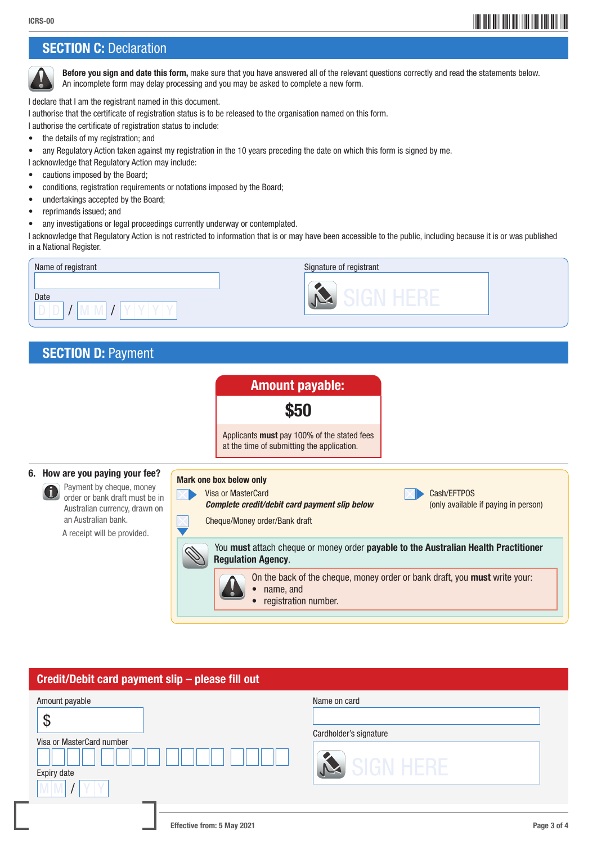### \*ICRS-003\* ICRS-003\* ICRS-003\* ICRS-003\* ICRS-003\* ICRS-003\* ICRS-003\* ICRS-003\* ICRS-003\* ICRS-003\* ICRS-003\* ICRS-003\* ICRS-003\* ICRS-003\* ICRS-003\* ICRS-003\* ICRS-003\* ICRS-003\* ICRS-003\* ICRS-003\* ICRS-003\* ICRS-003\* I

#### **SECTION C: Declaration**



Before you sign and date this form, make sure that you have answered all of the relevant questions correctly and read the statements below. An incomplete form may delay processing and you may be asked to complete a new form.

I declare that I am the registrant named in this document.

I authorise that the certificate of registration status is to be released to the organisation named on this form.

I authorise the certificate of registration status to include:

- the details of my registration; and
- any Regulatory Action taken against my registration in the 10 years preceding the date on which this form is signed by me.

I acknowledge that Regulatory Action may include:

- cautions imposed by the Board;
- conditions, registration requirements or notations imposed by the Board;
- undertakings accepted by the Board;
- reprimands issued; and
- any investigations or legal proceedings currently underway or contemplated.

I acknowledge that Regulatory Action is not restricted to information that is or may have been accessible to the public, including because it is or was published in a National Register.



#### **SECTION D: Payment**



#### Credit/Debit card payment slip – please fill out

| Amount payable<br>۰D<br>Visa or MasterCard number<br>Expiry date | Name on card<br>Cardholder's signature<br>SIGN HERE |
|------------------------------------------------------------------|-----------------------------------------------------|
| Effective from: 5 May 2021                                       | Page 3 of 4                                         |